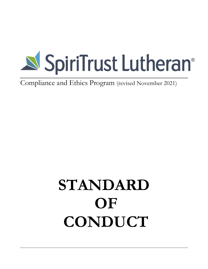

Compliance and Ethics Program (revised November 2021)

# **STANDARD OF CONDUCT**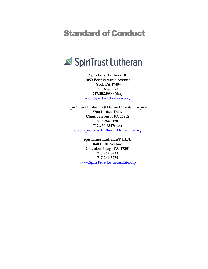# **Standard of Conduct**



**SpiriTrust Lutheran® 1050 Pennsylvania Avenue York PA 17404 717.854.3971 717.852.0900 (fax)** [www.SpiriTrustLutheran.org](http://www.spiritrustlutheran.org/)

**SpiriTrust Lutheran® Home Care & Hospice 2700 Luther Drive Chambersburg, PA 17202 717.264.8178 717.264.6347(fax) [www.SpiriTrustLutheranHomecare.org](http://www.spiritrustlutheranhomecare.org/)**

> **SpiriTrust Lutheran® LIFE 840 Fifth Avenue Chambersburg, PA 17201 717.264.5433 717.264.3279 [www.SpiriTrustLutheranLife.org](http://www.spiritrustlutheranlife.org/)**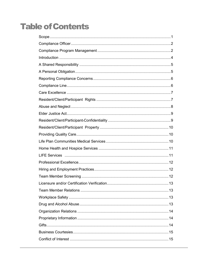# **Table of Contents**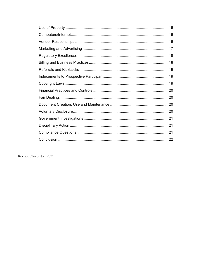Revised November 2021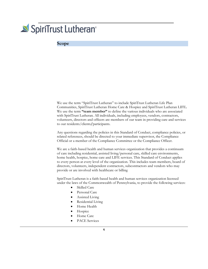# <span id="page-4-0"></span>SpiriTrust Lutheran<sup>®</sup>

#### **Scope**

We use the term "SpiriTrust Lutheran" to include SpiriTrust Lutheran Life Plan Communities, SpiriTrust Lutheran Home Care & Hospice and SpiriTrust Lutheran LIFE**.**  We use the term **"team member"** to define the various individuals who are associated with SpiriTrust Lutheran. All individuals, including employees, vendors, contractors, volunteers, directors and officers are members of our team in providing care and services to our residents/clients**/**participants.

Any questions regarding the policies in this Standard of Conduct, compliance policies, or related references, should be directed to your immediate supervisor, the Compliance Official or a member of the Compliance Committee or the Compliance Officer.

We are a faith-based health and human services organization that provides a continuum of care including residential, assisted living/personal care, skilled care environments, home health, hospice, home care and LIFE services. This Standard of Conduct applies to every person at every level of the organization. This includes team members, board of directors, volunteers, independent contractors, subcontractors and vendors who may provide or are involved with healthcare or billing

SpiriTrust Lutheran is a faith-based health and human services organization licensed under the laws of the Commonwealth of Pennsylvania, to provide the following services:

- Skilled Care
- Personal Care
- Assisted Living
- Residential Living
- Home Health
- Hospice
- Home Care
- PACE Services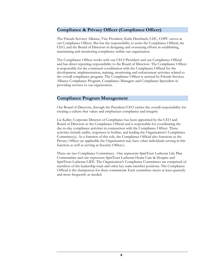#### **Compliance & Privacy Officer (Compliance Officer)**

The Friends Services Alliance, Vice President, Karla Dreisbach, CHC, CHPC serves as our Compliance Officer. She has the responsibility to assist the Compliance Official, the CEO, and the Board of Directors in designing and overseeing efforts in establishing, maintaining and monitoring compliance within our organization.

The Compliance Officer works with our CEO/President and our Compliance Official and has direct reporting responsibility to the Board of Directors. The Compliance Officer is responsible for the continued coordination with the Compliance Official for the development, implementation, training, monitoring and enforcement activities related to the overall compliance program. The Compliance Officer is assisted by Friends Services Alliance Compliance Program, Compliance Managers and Compliance Specialists in providing services to our organization.

#### <span id="page-5-0"></span>**Compliance Program Management**

Our Board of Directors, through the President/CEO carries the overall responsibility for creating a culture that values and emphasizes compliance and integrity

Liz Keller, Corporate Director of Compliance has been appointed by the CEO and Board of Directors as the Compliance Official and is responsible for coordinating the day-to-day compliance activities in conjunction with the Compliance Officer. These activities include audits, responses to hotline, and leading the Organization's Compliance Committee(s). As a function of this role, the Compliance Official also functions as the Privacy Officer (as applicable the Organization may have other individuals serving in this function as well as serving as Security Officer.).

There are two Compliance Committees. One represents SpiriTrust Lutheran Life Plan Communities and one represents SpiriTrust Lutheran Home Care & Hospice and SpiriTrust Lutheran LIFE. The Organization's Compliance Committees are comprised of members of the leadership team and other key team member positions. The Compliance Official is the chairperson for these committee**s**. Each committee meets at least quarterly and more frequently as needed.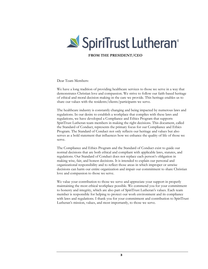

**FROM THE PRESIDENT/CEO**

Dear Team Members:

We have a long tradition of providing healthcare services to those we serve in a way that demonstrates Christian love and compassion. We strive to follow our faith-based heritage of ethical and moral decision making in the care we provide. This heritage enables us to share our values with the residents/clients/participants we serve.

The healthcare industry is constantly changing and being impacted by numerous laws and regulations. In our desire to establish a workplace that complies with these laws and regulations, we have developed a Compliance and Ethics Program that supports SpiriTrust Lutheran team members in making the right decisions. This document, called the Standard of Conduct, represents the primary focus for our Compliance and Ethics Program. The Standard of Conduct not only reflects our heritage and values but also serves as a bold statement that influences how we enhance the quality of life of those we serve.

The Compliance and Ethics Program and the Standard of Conduct exist to guide our normal decisions that are both ethical and compliant with applicable laws, statutes, and regulations. Our Standard of Conduct does not replace each person's obligation in making wise, fair, and honest decisions. It is intended to explain our personal and organizational responsibility and to reflect those areas in which improper or unwise decisions can harm our entire organization and impair our commitment to share Christian love and compassion to those we serve.

We value your contribution to those we serve and appreciate your support in properly maintaining the most ethical workplace possible. We commend you for your commitment to honesty and integrity, which are also part of SpiriTrust Lutheran's values. Each team member is responsible for helping to protect our work environment and its compliance with laws and regulations. I thank you for your commitment and contribution to SpiriTrust Lutheran's mission, values, and most importantly, to those we serve.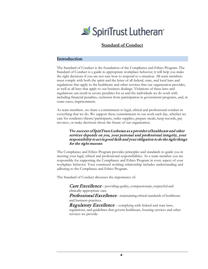

#### **Standard of Conduct**

#### <span id="page-7-0"></span>**Introduction**

The Standard of Conduct is the foundation of the Compliance and Ethics Program. The Standard of Conduct is a guide to appropriate workplace behavior; it will help you make the right decisions if you are not sure how to respond to a situation. All team members must comply with both the spirit and the letter of all federal, state, and local laws and regulations that apply to the healthcare and other services that our organization provides, as well as all laws that apply to our business dealings. Violations of these laws and regulations can result in severe penalties for us and the individuals we do work with including financial penalties, exclusion from participation in government programs, and, in some cases, imprisonment.

As team members, we share a commitment to legal, ethical and professional conduct in everything that we do. We support these commitments in our work each day, whether we care for residents/clients/participants, order supplies, prepare meals, keep records, pay invoices, or make decisions about the future of our organization.

#### **The** success of SpiriTrust Lutheran as a provider of healthcare and other services depends on you, your personal and professional integrity, your responsibility to act in good faith and your obligation to do the right things for the right reasons.

The Compliance and Ethics Program provides principles and standards to guide you in meeting your legal, ethical and professional responsibilities. As a team member you are responsible for supporting the Compliance and Ethics Program in every aspect of your workplace behavior. Your continued working relationship includes understanding and adhering to the Compliance and Ethics Program.

The Standard of Conduct discusses the importance of:

Care Excellence - providing quality, compassionate, respectful and clinically-appropriate care.

Professional Excellence – maintaining ethical standards of healthcare and business practices.

**Regulatory Excellence** – complying with federal and state laws, regulations, and guidelines that govern healthcare, housing services and other services we provide.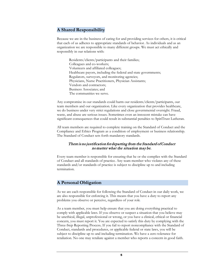# <span id="page-8-0"></span>**A Shared Responsibility**

Because we are in the business of caring for and providing services for others, it is critical that each of us adheres to appropriate standards of behavior. As individuals and as an organization we are responsible to many different groups. We must act ethically and responsibly in our relations with:

Residents/clients/participants and their families; Colleagues and co-workers; Volunteers and affiliated colleagues; Healthcare payors, including the federal and state governments; Regulators, surveyors, and monitoring agencies; Physicians, Nurse Practitioners, Physician Assistants; Vendors and contractors; Business Associates; and The communities we serve.

Any compromise in our standards could harm our residents/clients/participants, our team members and our organization. Like every organization that provides healthcare, we do business under very strict regulations and close governmental oversight. Fraud, waste, and abuse are serious issues. Sometimes even an innocent mistake can have significant consequences that could result in substantial penalties to SpiriTrust Lutheran.

All team members are required to complete training on the Standard of Conduct and the Compliance and Ethics Program as a condition of employment or business relationship. The Standard of Conduct sets forth mandatory standards.

#### There is no justification for departing from the Standard of Conduct no matter what the situation may be.

Every team member is responsible for ensuring that he or she complies with the Standard of Conduct and all standards of practice. Any team member who violates any of these standards and/or standards of practice is subject to discipline up to and including termination.

#### <span id="page-8-1"></span>**A Personal Obligation**

As we are each responsible for following the Standard of Conduct in our daily work, we are also responsible for enforcing it. This means that you have a duty to report any problems you observe or perceive, regardless of your role.

As a team member, you must help ensure that you are doing everything practical to comply with applicable laws. If you observe or suspect a situation that you believe may be unethical, illegal, unprofessional or wrong, or you have a clinical, ethical or financial concern, you must report it. You are expected to satisfy this duty by complying with the Three-Step Reporting Process**.** If you fail to report noncompliance with the Standard of Conduct, standards and procedures, or applicable federal or state laws, you will be subject to discipline up to and including termination. We have a zero tolerance for retaliation. No one may retaliate against a member who reports a concern in good faith.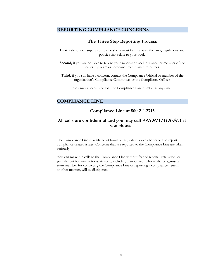#### <span id="page-9-0"></span>**REPORTING COMPLIANCE CONCERNS**

## **The Three Step Reporting Process**

- First, talk to your supervisor. He or she is most familiar with the laws, regulations and policies that relate to your work.
- **Second,** if you are not able to talk to your supervisor, seek out another member of the leadership team or someone from human resources.
- **Third,** if you still have a concern, contact the Compliance Official or member of the organization's Compliance Committee, or the Compliance Officer.

You may also call the toll free Compliance Line number at any time.

#### <span id="page-9-1"></span>**COMPLIANCE LINE**

.

#### **Compliance Line at 800.211.2713**

# **All calls are confidential and you may call** ANONYMOUSLY **if you choose.**

The Compliance Line is available 24 hours a day, 7 days a week for callers to report compliance-related issues. Concerns that are reported to the Compliance Line are taken seriously.

You can make the calls to the Compliance Line without fear of reprisal, retaliation, or punishment for your actions. Anyone, including a supervisor who retaliates against a team member for contacting the Compliance Line or reporting a compliance issue in another manner, will be disciplined.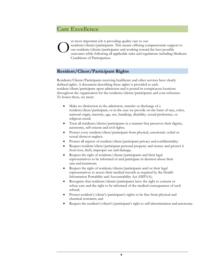# **Care Excellence**

ur most important job is providing quality care to our residents/clients/participants. This means offering compassionate support to our residents/clients/participants and working toward the best possible outcomes while following all applicable rules and regulations including Medicare Conditions of Participation. O

# **Resident/Client/Participant Rights**

Residents/Clients/Participants receiving healthcare and other services have clearly defined rights. A document describing these rights is provided to each resident/client/participant upon admission and is posted in conspicuous locations throughout the organization for the residents/clients/participants and your reference. To honor these, we must:

- Make no distinction in the admission, transfer or discharge of a resident/client/participant, or in the care we provide on the basis of race, color, national origin, ancestry, age, sex, handicap, disability, sexual preference, or religious creed;
- Treat all residents/clients/participants in a manner that preserves their dignity, autonomy, self-esteem and civil rights;
- Protect every resident/client/participant from physical, emotional, verbal or sexual abuseor neglect;
- Protect all aspects of resident/client/participant privacy and confidentiality;
- Respect resident/client/participant personal property and money and protect it from loss, theft, improper use and damage;
- Respect the right of residents/clients/participants and their legal representatives to be informed of and participate in decision about their care and treatment;
- Respect the right of residents/clients/participants and/or their legal representatives to access their medical records as required by the Health Information Portability and Accountability Act (HIPAA);
- Recognize that residents/clients/participants have the right to consent or refuse care and the right to be informed of the medical consequences of such refusal;
- Protect resident's/client's/participant's rights to be free from physical and chemical restraints; and
- Respect the resident's/client's/participant's right to self-determination and autonomy.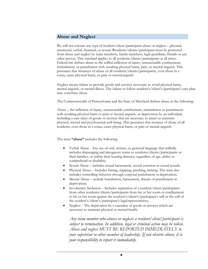#### **Abuse and Neglect**

We will not tolerate any type of resident/client/participant abuse or neglect – physical, emotional, verbal, financial, or sexual. Residents/clients/participant must be protected from abuse and neglect by team members, family members, legal guardians, friends or any other person. This standard applies to all residents/clients/participants at all times. Federal law defines abuse as the willful infliction of injury, unreasonable confinement, intimidation, or punishment with resulting physical harm, pain, or mental anguish. This presumes that instances of abuse of all residents/clients/participants, even those in a coma, cause physical harm, or pain or mentalanguish.

Neglect means failure to provide goods and services necessary to avoid physical harm, mental anguish, or mental illness. The failure to follow resident's/client's/participant's care plan may constitute abuse.

The Commonwealth of Pennsylvania and the State of Maryland defines abuse as the following:

Abuse – the infliction of injury, unreasonable confinement, intimidation or punishment with resulting physical harm or pain or mental anguish, or deprivation by an individual, including a care taker of goods or services that are necessary to attain or maintain physical, mental and psychosocial well-being. This presumes that instance of abuse of all residents, even those in a coma, cause physical harm, or pain or mental anguish.

The term **"abuse"** includes the following:

- Verbal Abuse Any use of oral, written, or gestured language that willfully includes disparaging and derogatory terms to residents/clients/participants or their families, or within their hearing distance, regardless of age, ability to comprehend or disability;
- Sexual Abuse includes sexual harassment, sexual coercion or sexual assault;
- Physical Abuse Includes hitting, slapping, pinching, kicking. The term also includes controlling behavior through corporal punishment or deprivation;
- Mental Abuse include humiliation, harassment, threats of punishment or deprivation;
- Involuntary Seclusion Includes separation of a resident/client/participants from other residents/clients/participants from his or her room or confinement to his or her room against the resident's/client's/participant's will or the will of the resident's/client's/participant's legalrepresentative;
- Neglect The deprivation by a caretaker of goods or services which are necessary to maintain physical or mental health.

<span id="page-11-0"></span>*Any team member who abuses or neglects a resident/client/participant is subject to termination. In addition, legal or criminal action may be taken. Abuse and neglect MUST BE REPORTED IMMEDIATELY to your supervisor or other member of leadership*. *If you observe abuse, it is your responsibility to report it immediately.*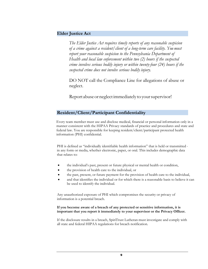#### **Elder Justice Act**

*The Elder Justice Act requires timely reports of any reasonable suspicion of a crime against a resident/client of a long-term care facility. You must report your reasonable suspicion to the Pennsylvania Department of Health and local law enforcement within two (2) hours if the suspected crime involves serious bodily injury or within twenty-four (24) hours if the suspected crime does not involve serious bodily injury.*

DO NOT call the Compliance Line for allegations of abuse or neglect.

Report abuse or neglect immediately to your supervisor!

#### **Resident/Client/Participant Confidentiality**

Every team member must use and disclose medical, financial or personal information only in a manner consistent with the HIPAA Privacy standards of practice and procedures and state and federal law. You are responsible for keeping resident/client/participant protected health information (PHI) confidential.

PHI is defined as "individually identifiable health information" that is held or transmitted in any form or media, whether electronic, paper, or oral. This includes demographic data that relates to:

- the individual's past, present or future physical or mental health or condition,
- the provision of health care to the individual, or
- the past, present, or future payment for the provision of health care to the individual,
- and that identifies the individual or for which there is a reasonable basis to believe it can be used to identify the individual.

Any unauthorized exposure of PHI which compromises the security or privacy of information is a potential breach.

#### **If you become aware of a breach of any protected or sensitive information, it is important that you report it immediately to your supervisor or the Privacy Officer.**

If the disclosure results in a breach, SpiriTrust Lutheran must investigate and comply with all state and federal HIPAA regulations for breach notification.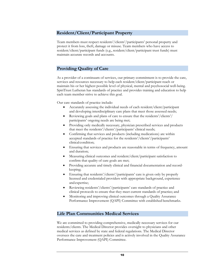#### **Resident/Client/Participant Property**

Team members must respect residents'/clients'/participants' personal property and protect it from loss, theft, damage or misuse. Team members who have access to resident/client/participant funds (e.g., resident/client/participant trust funds) must maintain accurate records and accounts.

#### **Providing Quality of Care**

As a provider of a continuum of services, our primary commitment is to provide the care, services and resources necessary to help each resident/client/participant reach or maintain his or her highest possible level of physical, mental and psychosocial well-being. SpiriTrust Lutheran has standards of practice and provides training and education to help each team member strive to achieve this goal.

Our care standards of practice include:

- Accurately assessing the individual needs of each resident/client/participant and developing interdisciplinary care plans that meet those assessed needs;
- Reviewing goals and plans of care to ensure that the residents'/clients'/ participants' ongoing needs are being met;
- Providing only medically necessary, physician prescribed services and products that meet the residents'/clients'/participants' clinical needs;
- Confirming that services and products (including medications) are within accepted standards of practice for the residents'/clients'/participants' clinical condition;
- Ensuring that services and products are reasonable in terms of frequency, amount and duration;
- Measuring clinical outcomes and resident/client/participant satisfaction to confirm that quality of care goals are met;
- Providing accurate and timely clinical and financial documentation and recordkeeping;
- Ensuring that residents'/clients'/participants' care is given only by properly licensed and credentialed providers with appropriate background, experience andexpertise;
- Reviewing residents'/clients'/participants' care standards of practice and clinical protocols to ensure that they meet current standards of practice; and
- Monitoring and improving clinical outcomes through a Quality Assurance Performance Improvement (QAPI) Committee with established benchmarks.

#### <span id="page-13-0"></span>**Life Plan Communities Medical Services**

We are committed to providing comprehensive, medically necessary services for our residents/clients. The Medical Director provides oversight to physicians and other medical services as defined by state and federal regulations. The Medical Director oversees the care and treatment policies and is actively involved in the Quality Assurance Performance Improvement (QAPI) Committee.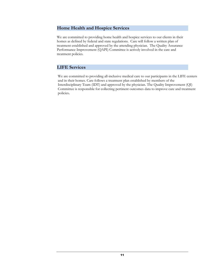## **Home Health and Hospice Services**

We are committed to providing home health and hospice services to our clients in their homes as defined by federal and state regulations. Care will follow a written plan of treatment established and approved by the attending physician. The Quality Assurance Performance Improvement (QAPI) Committee is actively involved in the care and treatment policies.

## **LIFE Services**

We are committed to providing all-inclusive medical care to our participants in the LIFE centers and in their homes. Care follows a treatment plan established by members of the Interdisciplinary Team (IDT) and approved by the physician. The Quality Improvement (QI) Committee is responsible for collecting pertinent outcomes data to improve care and treatment policies**.**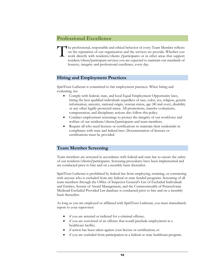# **Professional Excellence**

The professional, responsible and ethical behavior of every Team Member reflects on the reputation of our organization and the services we provide. Whether you work directly with residents/clients /participants or in other on the reputation of our organization and the services we provide. Whether you resident/client**/**participant services you are expected to maintain our standards of honesty, integrity and professional excellence, every day.

#### **Hiring and Employment Practices**

SpiriTrust Lutheran is committed to fair employment practices. When hiring and evaluating, we:

- Comply with federal, state, and local Equal Employment Opportunity laws, hiring the best qualified individuals regardless of race, color, sex, religion, genetic information, ancestry, national origin, veteran status, age (40 and over), disability or any other legally protected status. All promotions, transfer evaluations, compensation, and disciplinary actions also follow this policy.
- Conduct employment screenings to protect the integrity of our workforce and welfare of our residents/clients**/**participants and team members.
- Require all who need licenses or certifications to maintain their credentials in compliance with state and federal laws. Documentation of licenses or certifications must be provided.

#### **Team Member Screening**

Team members are screened in accordance with federal and state law to ensure the safety of our residents/clients**/**participants. Screening procedures have been implemented and are conducted prior to hire and on a monthly basis thereafter.

SpiriTrust Lutheran is prohibited by federal law from employing, retaining, or contracting with anyone who is excluded from any federal or state funded programs. Screening of all team members through the Office of Inspector General's List of Excluded Individuals and Entities, System of Award Management, and the Commonwealth of Pennsylvania Medicaid Excluded Provided List database is conducted prior to hire and on a monthly basis thereafter.

As long as you are employed or affiliated with SpiriTrust Lutheran, you must immediately report to your supervisor:

- if you are arrested or indicted for a criminal offense;
- if you are convicted of an offense that would preclude employment in a healthcare facility;
- if action has been taken against your license or certification; or
- if you are excluded from participation in a federal or state healthcare program.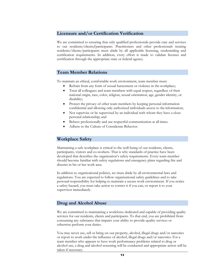#### **Licensure and/or Certification Verification**

We are committed to ensuring that only qualified professionals provide care and services to our residents/clients**/**participants. Practitioners and other professionals treating residents/clients/participants must abide by all applicable licensing, credentialing and certification requirements. In addition, every effort is made to validate licenses and certification through the appropriate state or federal agency.

#### **Team Member Relations**

To maintain an ethical, comfortable work environment, team member must:

- Refrain from any form of sexual harassment or violence in the workplace;
- Treat all colleagues and team members with equal respect, regardless of their national origin, race, color, religion, sexual orientation, age, gender identity, or disability;
- Protect the privacy of other team members by keeping personal information confidential and allowing only authorized individuals access to the information;
- Not supervise or be supervised by an individual with whom they have a close personal relationship; and
- Behave professionally and use respectful communication at all times.
- Adhere to the Culture of Considerate Behavior.

#### **Workplace Safety**

Maintaining a safe workplace is critical to the well-being of our residents, clients, participants, visitors and co-workers. That is why standards of practice have been developed that describes the organization's safety requirements. Every team member should become familiar with safety regulations and emergency plans regarding fire and disaster in his or her work area.

In addition to organizational policies, we must abide by all environmental laws and regulations. You are expected to follow organizational safety guidelines and to take personal responsibility for helping to maintain a secure work environment. If you notice a safety hazard, you must take action to correct it if you can, or report it to your supervisor immediately.

#### **Drug and Alcohol Abuse**

We are committed to maintaining a workforce dedicated and capable of providing quality services for our residents, clients and participants. To that end, you are prohibited from consuming any substance that impairs your ability to provide quality services or otherwise perform your duties.

You may never use, sell or bring on our property, alcohol, illegal drugs and/or narcotics or report to work under the influence of alcohol, illegal drugs and/or narcotics. For a team member who appears to have work performance problems related to drug or alcohol use, a drug and alcohol screening will be conducted and appropriate action will be taken if necessary.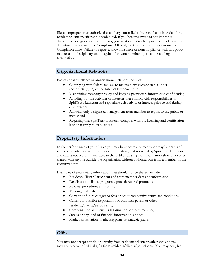Illegal, improper or unauthorized use of any controlled substance that is intended for a resident/clients/participant is prohibited. If you become aware of any improper diversion of drugs or medical supplies, you must immediately report the incident to your department supervisor, the Compliance Official, the Compliance Officer or use the Compliance Line. Failure to report a known instance of noncompliance with this policy may result in disciplinary action against the team member, up to and including termination.

#### **Organizational Relations**

Professional excellence in organizational relations includes:

- Complying with federal tax law to maintain tax-exempt status under section 501(c) (3) of the Internal Revenue Code.
- Maintaining company privacy and keeping proprietary information confidential;
- Avoiding outside activities or interests that conflict with responsibilities to SpiriTrust Lutheran and reporting such activity or interest prior to and during employment;
- Allowing only designated management team member to report to the public or media; and
- Requiring that SpiriTrust Lutheran complies with the licensing and certification laws that apply to its business.

#### **Proprietary Information**

In the performance of your duties you may have access to, receive or may be entrusted with confidential and/or proprietary information, that is owned by SpiriTrust Lutheran and that is not presently available to the public. This type of information should never be shared with anyone outside the organization without authorization from a member of the executive team.

Examples of proprietary information that should not be shared include:

- Resident/Clien**t/**Participant and team member data and information;
- Details about clinical programs, procedures and protocols;
- Policies, procedures and forms;
- Training materials;
- Current or future charges or fees or other competitive terms and conditions;
- Current or possible negotiations or bids with payers or other residents/clients**/**participants;
- Compensation and benefits information for team member;
- Stocks or any kind of financial information; and/or
- Market information, marketing plans or strategic plans.

#### **Gifts**

You may not accept any tip or gratuity from residents/clients/participants and you may not receive individual gifts from residents/clients/participants. You may not give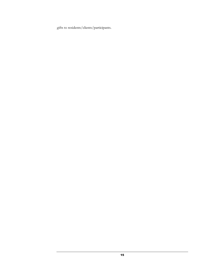gifts to residents/clients/participants.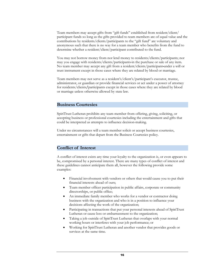Team members may accept gifts from "gift funds" established from resident/client/ participant funds so long as the gifts provided to team members are of equal value and the contributions by residents/clients/participants to the "gift fund" are voluntary and anonymous such that there is no way for a team member who benefits from the fund to determine whether a resident/client/participant contributed to the fund.

You may not borrow money from nor lend money to residents/clients/participants; nor may you engage with residents/clients/participants in the purchase or sale of any item. No team member may accept any gift from a resident/clients/participant under a will or trust instrument except in those cases where they are related by blood or marriage.

Team members may not serve as a resident's/client's/participant's executor, trustee, administrator, or guardian or provide financial services or act under a power of attorney for residents/clients**/**participants except in those cases where they are related by blood or marriage unless otherwise allowed by state law.

#### <span id="page-19-0"></span>**Business Courtesies**

SpiriTrust Lutheran prohibits any team member from offering, giving, soliciting, or accepting business or professional courtesies including the entertainment and gifts that could be interpreted as attempts to influence decision-making.

Under no circumstances will a team member solicit or accept business courtesies, entertainment or gifts that depart from the Business Courtesies policy.

#### <span id="page-19-1"></span>**Conflict of Interest**

A conflict of interest exists any time your loyalty to the organization is, or even appears to be, compromised by a personal interest. There are many types of conflict of interest and these guidelines cannot anticipate them all, however the following provide some examples:

- Financial involvement with vendors or others that would cause you to put their financial interests ahead of ours;
- Team member officer participation in public affairs, corporate or community directorships, or public office;
- An immediate family member who works for a vendor or contractor doing business with the organization and who is in a position to influence your decisions affecting the work of the organization;
- Participating in transactions that put your personal interests ahead of SpiriTrust Lutheran or cause loss or embarrassment to the organization;
- Taking a job outside of SpiriTrust Lutheran that overlaps with your normal working hours or interferes with your job performance; or
- Working for SpiriTrust Lutheran and another vendor that provides goods or services at the same time.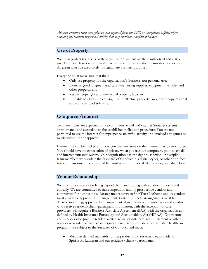*All team members must seek guidance and approval from our CEO or Compliance Official before pursuing any business or personal activity that may constitute a conflict of interest.*

#### **Use of Property**

We must protect the assets of the organization and ensure their authorized and efficient use. Theft, carelessness, and waste have a direct impact on the organization's viability. All assets must be used solely for legitimate business purposes.

Everyone must make sure that they:

- Only use property for the organization's business, not personal use;
- Exercise good judgment and care when using supplies, equipment, vehicles and other property; and
- Respect copyright and intellectual property laws; or
- If unable to assess the copyright or intellectual property laws, never copy material and/or download software.

# **Computers/Internet**

Team members are expected to use computers, email and internet/intranet systems appropriately and according to the established policy and procedure. You are not permitted to use the internet for improper or unlawful activity or download any games or music without prior approval.

Internet use can be tracked and how you use your time on the internet may be monitored. You should have no expectation of privacy when you use our computers, phones, email, and internet/intranet system. Our organization has the right to sanction or discipline team members who violate the Standard of Conduct in a digital, cyber, or other non-faceto-face environment. You should be familiar with our Social Media policy and abide byit.

#### **Vendor Relationships**

We take responsibility for being a good client and dealing with vendors honestly and ethically. We are committed to fair competition among prospective vendors and contractors for our business. Arrangements between SpiriTrust Lutheran and its vendors must always be approved by management. Certain business arrangements must be detailed in writing, approved by management. Agreements with contractors and vendors who receive resident/client/participant information, with the exception of care providers, will require a Business Associate Agreement (BAA) with the organization as defined by Health Insurance Portability and Accountability Act (HIPAA). Contractors and vendors who provide residents/clients/participants care, reimbursement or other services to residents/clients/participants beneficiaries of federal and/or state healthcare programs are subject to the Standard of Conduct and must:

• Maintain defined standards for the products and services they provide to SpiriTrust Lutheran and our residents/clients/participants;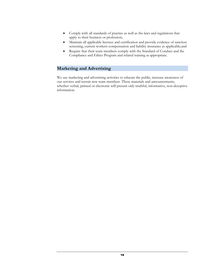- Comply with all standards of practice as well as the laws and regulations that apply to their business or profession;
- Maintain all applicable licenses and certification and provide evidence of sanction screening, current workers compensation and liability insurance as applicable;and
- Require that their team members comply with the Standard of Conduct and the Compliance and Ethics Program and related training as appropriate.

#### <span id="page-21-0"></span>**Marketing and Advertising**

We use marketing and advertising activities to educate the public, increase awareness of our services and recruit new team members. These materials and announcements, whether verbal, printed or electronic will present only truthful, informative, non-deceptive information.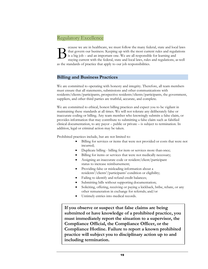# <span id="page-22-0"></span>Regulatory Excellence

B ecause we are in healthcare, we must follow the many federal, state and local laws that govern our business. Keeping up with the most current rules and regulations is a big job – and an important one. We are all responsible for learning and staying current with the federal, state and local laws, rules and regulations, as well as the standards of practice that apply to our job responsibilities.

#### <span id="page-22-1"></span>**Billing and Business Practices**

We are committed to operating with honesty and integrity. Therefore, all team members must ensure that all statements, submissions and other communications with residents/clients/participants, prospective residents/clients/participants, the government, suppliers, and other third parties are truthful, accurate, and complete.

We are committed to ethical, honest billing practices and expect you to be vigilant in maintaining these standards at all times. We will not tolerate any deliberately false or inaccurate coding or billing. Any team member who knowingly submits a false claim, or provides information that may contribute to submitting a false claim such as falsified clinical documentation, to any payor – public or private – is subject to termination. In addition, legal or criminal action may be taken.

Prohibited practices include, but are not limited to:

- Billing for services or items that were not provided or costs that were not incurred;
- Duplicate billing billing for item or services more than once;
- Billing for items or services that were not medically necessary;
- Assigning an inaccurate code or resident/client/participant status to increase reimbursement;
- Providing false or misleading information about a residents'/clients'/participants' condition or eligibility;
- Failing to identify and refund credit balances;
- Submitting bills without supporting documentation;
- Soliciting, offering, receiving or paying a kickback, bribe, rebate, or any other remuneration in exchange for referrals; and/or
- Untimely entries into medical records.

**If you observe or suspect that false claims are being submitted or have knowledge of a prohibited practice, you must immediately report the situation to a supervisor, the Compliance Official, the Compliance Officer, or the Compliance Hotline. Failure to report a known prohibited practice will subject you to disciplinary action up to and including termination.**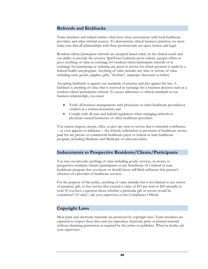#### **Referrals and Kickbacks**

Team members and related entities often have close associations with local healthcare providers and other referral sources. To demonstrate ethical business practices, we must make sure that all relationships with these professionals are open, honest and legal.

Resident/client/participant referrals are accepted based solely on the clinical needs and our ability to provide the services. SpiriTrust Lutheran never solicits, accepts offers or gives anything of value in exchange for resident/client/participant referrals or in exchange for purchasing or ordering any good or service for which payment is made by a federal health careprogram. Anything of value includes any time or service of value including cash, goods, supplies, gifts, "freebies", improper discounts or bribes.

Accepting kickbacks is against our standards of practice and also against the law. A kickback is anything of value that is received in exchange for a business decision such as a resident/client/participants referral. To assure adherence to ethical standards in our business relationships, you must:

- Verify all business arrangements with physicians or other healthcare providersor vendors in a written document; and
- Comply with all state and federal regulations when arranging referralsto physician-owned businesses or other healthcare providers.

You cannot request, accept, offer, or give any item or service that is intended toinfluence – or even appears to influence – the referral, solicitation or provision of healthcare service paid for any private or commercial healthcare payer or federal or state healthcare program, including Medicare and Medicaid, or other providers.

#### **Inducements to Prospective Residents/Clients/Participants**

You may not provide anything of value including goods, services, or money to prospective residents/clients/participants or any beneficiary of a federal or state healthcare program that you know or should know will likely influence that person's selection of a provider of healthcare services.

For the purpose of this policy, anything of value includes but is not limited to any waiver of payment, gift, or free service that exceeds a value of \$10 per item or \$50 annually in total. If you have a question about whether a particular gift or service would be considered "of value", ask your supervisor or the Compliance Official.

#### **Copyright Laws**

Most print and electronic materials are protected by copyright laws. Team members are expected to respect these laws and not reproduce electronic print or printed material without obtaining permission as required by the writer or publisher. When in doubt, ask your supervisor.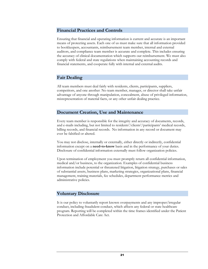#### **Financial Practices and Controls**

Ensuring that financial and operating information is current and accurate is an important means of protecting assets. Each one of us must make sure that all information provided to bookkeepers, accountants, reimbursement team member, internal and external auditors, and compliance team member is accurate and complete. This includes ensuring the accuracy of clinical documentation which supports our reimbursement. We must also comply with federal and state regulations when maintaining accounting records and financial statements, and cooperate fully with internal and external audits.

#### **Fair Dealing**

All team members must deal fairly with residents, clients, participants, suppliers, competitors, and one another. No team member, manager, or director shall take unfair advantage of anyone through manipulation, concealment, abuse of privileged information, misrepresentation of material facts, or any other unfair dealing practice.

#### **Document Creation, Use and Maintenance**

Every team member is responsible for the integrity and accuracy of documents, records, and e-mails including, but not limited to residents'/clients'/participants' medical records, billing records, and financial records. No information in any record or document may ever be falsified or altered.

You may not disclose, internally or externally, either directly or indirectly, confidential information except on a **need-to-know** basis and in the performance of your duties. Disclosure of confidential information externally must follow organization policies.

Upon termination of employment you must promptly return all confidential information, medical and/or business, to the organization. Examples of confidential business information include potential or threatened litigation, litigation strategy, purchases or sales of substantial assets, business plans, marketing strategies, organizational plans, financial management, training materials, fee schedules, department performance metrics and administrative policies.

#### **Voluntary Disclosure**

It is our policy to voluntarily report known overpayments and any improper/irregular conduct, including fraudulent conduct, which affects any federal or state healthcare program. Reporting will be completed within the time frames identified under the Patient Protection and Affordable Care Act.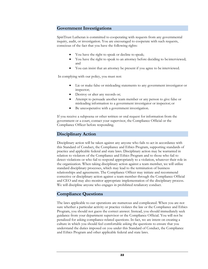#### **Government Investigations**

SpiriTrust Lutheran is committed to cooperating with requests from any governmental inquiry, audit, or investigation. You are encouraged to cooperate with such requests, conscious of the fact that you have the following rights:

- You have the right to speak or decline to speak;
- You have the right to speak to an attorney before deciding to be interviewed; and
- You can insist that an attorney be present if you agree to be interviewed.

In complying with our policy, you must not:

- Lie or make false or misleading statements to any government investigator or inspector;
- Destroy or alter any records or;
- Attempt to persuade another team member or any person to give false or misleading information to a government investigator or inspector; or
- Be uncooperative with a government investigation.

If you receive a subpoena or other written or oral request for information from the government or a court, contact your supervisor, the Compliance Official or the Compliance Officer before responding.

#### **Disciplinary Action**

Disciplinary action will be taken against any anyone who fails to act in accordance with this Standard of Conduct**,** the Compliance and Ethics Program, supporting standards of practice and applicable federal and state laws. Disciplinary action may be warranted in relation to violators of the Compliance and Ethics Program and to those who fail to detect violations or who fail to respond appropriately to a violation, whatever their role in the organization. When taking disciplinary action against a team member, we will utilize standard disciplinary processes, which may lead to the termination of business relationships and agreements. The Compliance Officer may initiate and recommend corrective or disciplinary action against a team member through the Compliance Official and CEO and may also monitor appropriate implementation of the disciplinary process. We will discipline anyone who engages in prohibited retaliatory conduct.

#### **Compliance Questions**

The laws applicable to our operations are numerous and complicated. When you are not sure whether a particular activity or practice violates the law or the Compliance and Ethics Program, you should not guess the correct answer. Instead, you should immediately seek guidance from your department supervisor or the Compliance Official. You will not be penalized for asking compliance-related questions. In fact, we are intent on creating a culture in which you should feel comfortable asking the questions to ensure that you understand the duties imposed on you under this Standard of Conduct, the Compliance and Ethics Program and other applicable federal and state laws.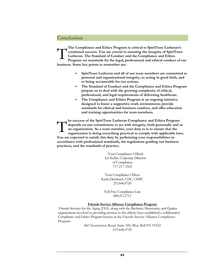# <span id="page-26-0"></span>**Conclusion**

T **The Compliance and Ethics Program is critical to SpiriTrust Lutheran's continued success. You are crucial to ensuring the integrity of SpiriTrust Lutheran. The Standard of Conduct and the Compliance and Ethics Program set standards for the legal, professional and ethical conduct of our business. Some key points to remember are:**

- **SpiriTrust Lutheran and all of our team members are committed to personal and organizational integrity, to acting in good faith, and to being accountable for our actions.**
- **The Standard of Conduct and the Compliance and Ethics Program prepare us to deal with the growing complexity of ethical, professional, and legal requirements of delivering healthcare.**
- **The Compliance and Ethics Program is an ongoing initiative designed to foster a supportive work environment, provide standards for clinical and business conduct, and offer education and training opportunities for team members.**

**he success of the SpiriTrust Lutheran Compliance and Ethics Program depends on our commitment to act with integrity, both personally and as an organization. As a team member, your duty to is to ensure that the organization is doing everything practical to comply with applicable laws. You are expected to satisfy this duty by performing your responsibilities in accordance with professional standards, the regulations guiding our business practices, and the standards of practice.** T

> Your Compliance Official Liz Keller, Corporate Director of Compliance 717.217.3502

Your Compliance Officer Karla Dreisbach, CHC, CHPC 215.646.0720

Toll Free Compliance Line 800.211.2713

#### **Friends Service Alliance Compliance Program**

Friends Services for the Aging (FSA), along with the Brethren, Mennonite, and Quaker organizations involved in providing services to the elderly, have established a collaborative Compliance and Ethics Program known as the Friends Service Alliance Compliance Program

> 460 Norristown Road, Suite 300, Blue Bell PA 19422 215.646.0720